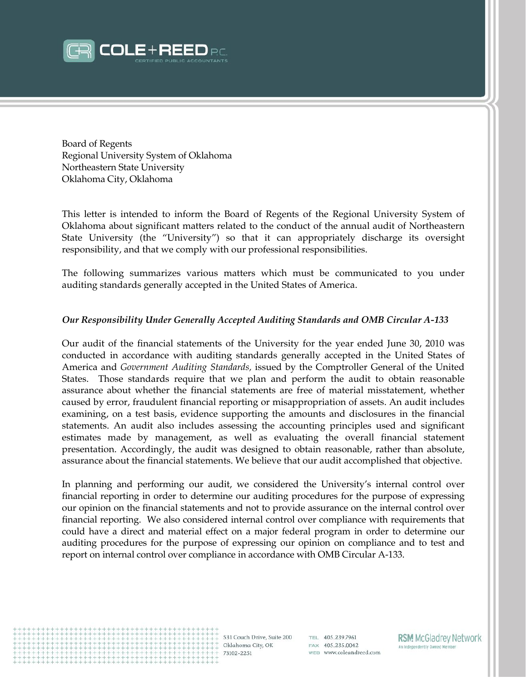

Board of Regents Regional University System of Oklahoma Northeastern State University Oklahoma City, Oklahoma

This letter is intended to inform the Board of Regents of the Regional University System of Oklahoma about significant matters related to the conduct of the annual audit of Northeastern State University (the "University") so that it can appropriately discharge its oversight responsibility, and that we comply with our professional responsibilities.

The following summarizes various matters which must be communicated to you under auditing standards generally accepted in the United States of America.

# *Our Responsibility Under Generally Accepted Auditing Standards and OMB Circular A-133*

Our audit of the financial statements of the University for the year ended June 30, 2010 was conducted in accordance with auditing standards generally accepted in the United States of America and *Government Auditing Standards,* issued by the Comptroller General of the United States. Those standards require that we plan and perform the audit to obtain reasonable assurance about whether the financial statements are free of material misstatement, whether caused by error, fraudulent financial reporting or misappropriation of assets. An audit includes examining, on a test basis, evidence supporting the amounts and disclosures in the financial statements. An audit also includes assessing the accounting principles used and significant estimates made by management, as well as evaluating the overall financial statement presentation. Accordingly, the audit was designed to obtain reasonable, rather than absolute, assurance about the financial statements. We believe that our audit accomplished that objective.

In planning and performing our audit, we considered the University's internal control over financial reporting in order to determine our auditing procedures for the purpose of expressing our opinion on the financial statements and not to provide assurance on the internal control over financial reporting. We also considered internal control over compliance with requirements that could have a direct and material effect on a major federal program in order to determine our auditing procedures for the purpose of expressing our opinion on compliance and to test and report on internal control over compliance in accordance with OMB Circular A-133.

> 531 Couch Drive, Suite 200 Oklahoma City, OK 73102-2251

TEL 405.239.7961 FAX 405.235.0042 WEB www.coleandreed.com **RSM McGladrey Network** An Independently Owned Member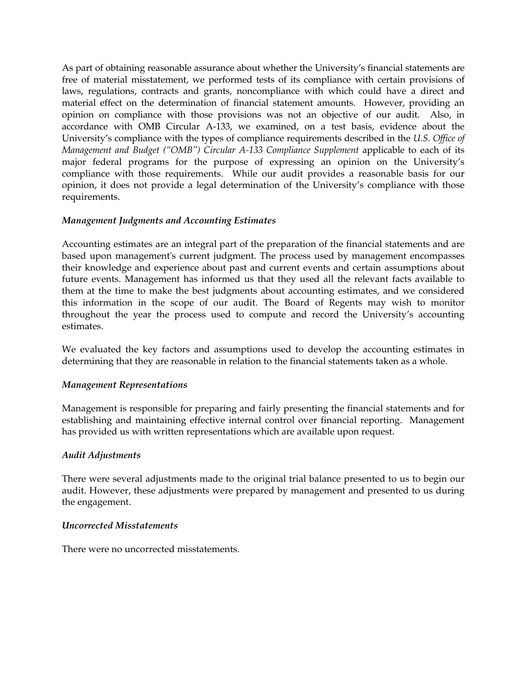As part of obtaining reasonable assurance about whether the University's financial statements are free of material misstatement, we performed tests of its compliance with certain provisions of laws, regulations, contracts and grants, noncompliance with which could have a direct and material effect on the determination of financial statement amounts. However, providing an opinion on compliance with those provisions was not an objective of our audit. Also, in accordance with OMB Circular A-133, we examined, on a test basis, evidence about the University's compliance with the types of compliance requirements described in the *U.S. Office of Management and Budget ("OMB") Circular A-133 Compliance Supplement* applicable to each of its major federal programs for the purpose of expressing an opinion on the University's compliance with those requirements. While our audit provides a reasonable basis for our opinion, it does not provide a legal determination of the University's compliance with those requirements.

# *Management Judgments and Accounting Estimates*

Accounting estimates are an integral part of the preparation of the financial statements and are based upon management's current judgment. The process used by management encompasses their knowledge and experience about past and current events and certain assumptions about future events. Management has informed us that they used all the relevant facts available to them at the time to make the best judgments about accounting estimates, and we considered this information in the scope of our audit. The Board of Regents may wish to monitor throughout the year the process used to compute and record the University's accounting estimates.

We evaluated the key factors and assumptions used to develop the accounting estimates in determining that they are reasonable in relation to the financial statements taken as a whole.

# *Management Representations*

Management is responsible for preparing and fairly presenting the financial statements and for establishing and maintaining effective internal control over financial reporting. Management has provided us with written representations which are available upon request.

#### *Audit Adjustments*

There were several adjustments made to the original trial balance presented to us to begin our audit. However, these adjustments were prepared by management and presented to us during the engagement.

#### *Uncorrected Misstatements*

There were no uncorrected misstatements.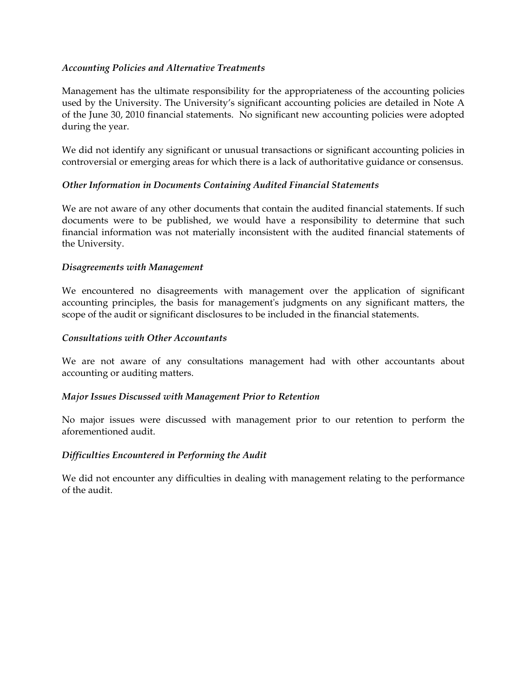# *Accounting Policies and Alternative Treatments*

Management has the ultimate responsibility for the appropriateness of the accounting policies used by the University. The University's significant accounting policies are detailed in Note A of the June 30, 2010 financial statements. No significant new accounting policies were adopted during the year.

We did not identify any significant or unusual transactions or significant accounting policies in controversial or emerging areas for which there is a lack of authoritative guidance or consensus.

# *Other Information in Documents Containing Audited Financial Statements*

We are not aware of any other documents that contain the audited financial statements. If such documents were to be published, we would have a responsibility to determine that such financial information was not materially inconsistent with the audited financial statements of the University.

### *Disagreements with Management*

We encountered no disagreements with management over the application of significant accounting principles, the basis for management's judgments on any significant matters, the scope of the audit or significant disclosures to be included in the financial statements.

### *Consultations with Other Accountants*

We are not aware of any consultations management had with other accountants about accounting or auditing matters.

#### *Major Issues Discussed with Management Prior to Retention*

No major issues were discussed with management prior to our retention to perform the aforementioned audit.

#### *Difficulties Encountered in Performing the Audit*

We did not encounter any difficulties in dealing with management relating to the performance of the audit.